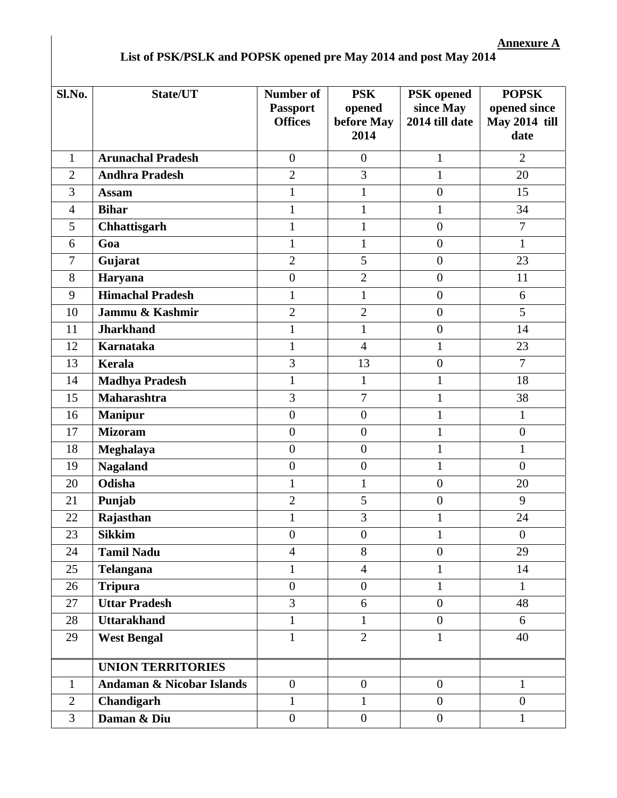## **List of PSK/PSLK and POPSK opened pre May 2014 and post May 2014**

| Sl.No.         | State/UT                             | <b>Number of</b><br><b>Passport</b><br><b>Offices</b> | <b>PSK</b><br>opened<br>before May<br>2014 | <b>PSK</b> opened<br>since May<br>2014 till date | <b>POPSK</b><br>opened since<br><b>May 2014 till</b><br>date |
|----------------|--------------------------------------|-------------------------------------------------------|--------------------------------------------|--------------------------------------------------|--------------------------------------------------------------|
| $\mathbf{1}$   | <b>Arunachal Pradesh</b>             | $\boldsymbol{0}$                                      | $\overline{0}$                             | $\mathbf{1}$                                     | $\overline{2}$                                               |
| $\overline{2}$ | <b>Andhra Pradesh</b>                | $\overline{2}$                                        | 3                                          | $\mathbf{1}$                                     | 20                                                           |
| 3              | <b>Assam</b>                         | $\mathbf{1}$                                          | $\mathbf{1}$                               | $\boldsymbol{0}$                                 | 15                                                           |
| $\overline{4}$ | <b>Bihar</b>                         | $\mathbf{1}$                                          | $\mathbf{1}$                               | $\mathbf{1}$                                     | 34                                                           |
| 5              | Chhattisgarh                         | $\mathbf{1}$                                          | $\mathbf{1}$                               | $\boldsymbol{0}$                                 | $\overline{7}$                                               |
| 6              | Goa                                  | $\mathbf{1}$                                          | $\mathbf{1}$                               | $\overline{0}$                                   | $\mathbf{1}$                                                 |
| $\tau$         | Gujarat                              | $\overline{2}$                                        | 5                                          | $\boldsymbol{0}$                                 | 23                                                           |
| 8              | Haryana                              | $\boldsymbol{0}$                                      | $\overline{2}$                             | $\overline{0}$                                   | 11                                                           |
| 9              | <b>Himachal Pradesh</b>              | $\mathbf{1}$                                          | $\mathbf{1}$                               | $\boldsymbol{0}$                                 | 6                                                            |
| 10             | Jammu & Kashmir                      | $\overline{2}$                                        | $\overline{2}$                             | $\boldsymbol{0}$                                 | 5                                                            |
| 11             | <b>Jharkhand</b>                     | $\mathbf{1}$                                          | $\mathbf{1}$                               | $\boldsymbol{0}$                                 | 14                                                           |
| 12             | <b>Karnataka</b>                     | $\mathbf{1}$                                          | $\overline{4}$                             | $\mathbf{1}$                                     | 23                                                           |
| 13             | <b>Kerala</b>                        | 3                                                     | 13                                         | $\overline{0}$                                   | $\overline{7}$                                               |
| 14             | <b>Madhya Pradesh</b>                | $\mathbf{1}$                                          | 1                                          | $\mathbf{1}$                                     | 18                                                           |
| 15             | <b>Maharashtra</b>                   | 3                                                     | $\overline{7}$                             | $\mathbf{1}$                                     | 38                                                           |
| 16             | <b>Manipur</b>                       | $\boldsymbol{0}$                                      | $\overline{0}$                             | $\mathbf{1}$                                     | $\mathbf{1}$                                                 |
| 17             | <b>Mizoram</b>                       | $\boldsymbol{0}$                                      | $\overline{0}$                             | $\mathbf{1}$                                     | $\boldsymbol{0}$                                             |
| 18             | <b>Meghalaya</b>                     | $\boldsymbol{0}$                                      | $\overline{0}$                             | $\mathbf{1}$                                     | $\mathbf{1}$                                                 |
| 19             | <b>Nagaland</b>                      | $\boldsymbol{0}$                                      | $\overline{0}$                             | $\mathbf{1}$                                     | $\overline{0}$                                               |
| 20             | Odisha                               | $\mathbf{1}$                                          | $\mathbf{1}$                               | $\boldsymbol{0}$                                 | 20                                                           |
| 21             | Punjab                               | $\overline{2}$                                        | 5                                          | $\boldsymbol{0}$                                 | 9                                                            |
| 22             | Rajasthan                            | $\mathbf{1}$                                          | 3                                          | $\mathbf{1}$                                     | 24                                                           |
| 23             | <b>Sikkim</b>                        | $\boldsymbol{0}$                                      | $\boldsymbol{0}$                           | $\mathbf{1}$                                     | $\boldsymbol{0}$                                             |
| 24             | <b>Tamil Nadu</b>                    | $\overline{4}$                                        | 8                                          | $\overline{0}$                                   | 29                                                           |
| 25             | Telangana                            | $\mathbf{1}$                                          | $\overline{4}$                             | $\mathbf{1}$                                     | 14                                                           |
| 26             | <b>Tripura</b>                       | $\overline{0}$                                        | $\mathbf{0}$                               | $\mathbf{1}$                                     | $\mathbf{1}$                                                 |
| 27             | <b>Uttar Pradesh</b>                 | $\overline{3}$                                        | 6                                          | $\overline{0}$                                   | 48                                                           |
| 28             | <b>Uttarakhand</b>                   | $\mathbf{1}$                                          | $\mathbf{1}$                               | $\overline{0}$                                   | 6                                                            |
| 29             | <b>West Bengal</b>                   | $\mathbf{1}$                                          | $\overline{2}$                             | $\mathbf{1}$                                     | 40                                                           |
|                | <b>UNION TERRITORIES</b>             |                                                       |                                            |                                                  |                                                              |
| $\mathbf{1}$   | <b>Andaman &amp; Nicobar Islands</b> | $\overline{0}$                                        | $\mathbf{0}$                               | $\boldsymbol{0}$                                 | $\mathbf{1}$                                                 |
| $\overline{2}$ | Chandigarh                           | $\mathbf{1}$                                          | $\mathbf{1}$                               | $\boldsymbol{0}$                                 | $\boldsymbol{0}$                                             |
| 3              | Daman & Diu                          | $\boldsymbol{0}$                                      | $\boldsymbol{0}$                           | $\boldsymbol{0}$                                 | $\mathbf{1}$                                                 |